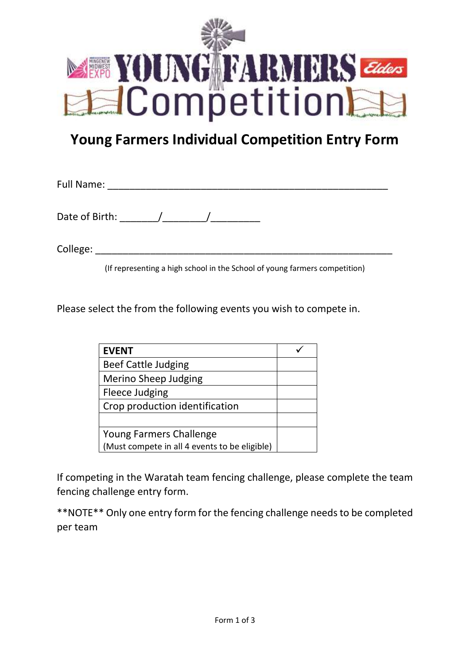

## **Young Farmers Individual Competition Entry Form**

Full Name: \_\_\_\_\_\_\_\_\_\_\_\_\_\_\_\_\_\_\_\_\_\_\_\_\_\_\_\_\_\_\_\_\_\_\_\_\_\_\_\_\_\_\_\_\_\_\_\_\_\_\_ Date of Birth: \_\_\_\_\_\_\_/\_\_\_\_\_\_\_\_/\_\_\_\_\_\_\_\_\_ College: \_\_\_\_\_\_\_\_\_\_\_\_\_\_\_\_\_\_\_\_\_\_\_\_\_\_\_\_\_\_\_\_\_\_\_\_\_\_\_\_\_\_\_\_\_\_\_\_\_\_\_\_\_\_

(If representing a high school in the School of young farmers competition)

Please select the from the following events you wish to compete in.

| <b>EVENT</b>                                  |  |
|-----------------------------------------------|--|
| <b>Beef Cattle Judging</b>                    |  |
| Merino Sheep Judging                          |  |
| Fleece Judging                                |  |
| Crop production identification                |  |
|                                               |  |
| Young Farmers Challenge                       |  |
| (Must compete in all 4 events to be eligible) |  |

If competing in the Waratah team fencing challenge, please complete the team fencing challenge entry form.

\*\*NOTE\*\* Only one entry form for the fencing challenge needs to be completed per team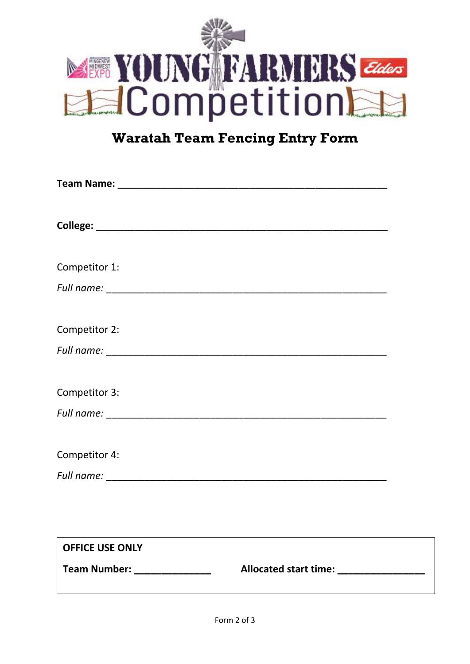

## **Waratah Team Fencing Entry Form**

| Competitor 1:                 |                                  |  |
|-------------------------------|----------------------------------|--|
|                               |                                  |  |
| Competitor 2:                 |                                  |  |
|                               |                                  |  |
| Competitor 3:                 |                                  |  |
|                               |                                  |  |
| Competitor 4:                 |                                  |  |
|                               |                                  |  |
|                               |                                  |  |
| <b>OFFICE USE ONLY</b>        |                                  |  |
| Team Number: ________________ | Allocated start time: __________ |  |